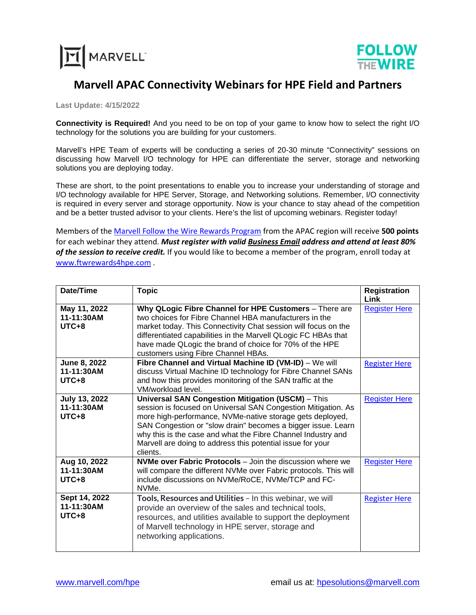



## **Marvell APAC Connectivity Webinars for HPE Field and Partners**

**Last Update: 4/15/2022**

**Connectivity is Required!** And you need to be on top of your game to know how to select the right I/O technology for the solutions you are building for your customers.

Marvell's HPE Team of experts will be conducting a series of 20-30 minute "Connectivity" sessions on discussing how Marvell I/O technology for HPE can differentiate the server, storage and networking solutions you are deploying today.

These are short, to the point presentations to enable you to increase your understanding of storage and I/O technology available for HPE Server, Storage, and Networking solutions. Remember, I/O connectivity is required in every server and storage opportunity. Now is your chance to stay ahead of the competition and be a better trusted advisor to your clients. Here's the list of upcoming webinars. Register today!

Members of th[e Marvell Follow the Wire Rewards Program](http://www.ftwrewards4hpe.com/) from the APAC region will receive **500 points** for each webinar they attend. *Must register with valid Business Email address and attend at least 80% of the session to receive credit.* If you would like to become a member of the program, enroll today at [www.ftwrewards4hpe.com](http://www.ftwrewards4hpe.com/) .

| Date/Time                                     | <b>Topic</b>                                                                                                                                                                                                                                                                                                                                                                                     | <b>Registration</b><br>Link |
|-----------------------------------------------|--------------------------------------------------------------------------------------------------------------------------------------------------------------------------------------------------------------------------------------------------------------------------------------------------------------------------------------------------------------------------------------------------|-----------------------------|
| May 11, 2022<br>11-11:30AM<br>$UTC+8$         | Why QLogic Fibre Channel for HPE Customers - There are<br>two choices for Fibre Channel HBA manufacturers in the<br>market today. This Connectivity Chat session will focus on the<br>differentiated capabilities in the Marvell QLogic FC HBAs that<br>have made QLogic the brand of choice for 70% of the HPE<br>customers using Fibre Channel HBAs.                                           | <b>Register Here</b>        |
| June 8, 2022<br>11-11:30AM<br>$UTC+8$         | Fibre Channel and Virtual Machine ID (VM-ID) - We will<br>discuss Virtual Machine ID technology for Fibre Channel SANs<br>and how this provides monitoring of the SAN traffic at the<br>VM/workload level.                                                                                                                                                                                       | <b>Register Here</b>        |
| <b>July 13, 2022</b><br>11-11:30AM<br>$UTC+8$ | <b>Universal SAN Congestion Mitigation (USCM)</b> - This<br>session is focused on Universal SAN Congestion Mitigation. As<br>more high-performance, NVMe-native storage gets deployed,<br>SAN Congestion or "slow drain" becomes a bigger issue. Learn<br>why this is the case and what the Fibre Channel Industry and<br>Marvell are doing to address this potential issue for your<br>clients. | <b>Register Here</b>        |
| Aug 10, 2022<br>11-11:30AM<br>$UTC+8$         | <b>NVMe over Fabric Protocols</b> – Join the discussion where we<br>will compare the different NVMe over Fabric protocols. This will<br>include discussions on NVMe/RoCE, NVMe/TCP and FC-<br>NVMe.                                                                                                                                                                                              | <b>Register Here</b>        |
| Sept 14, 2022<br>11-11:30AM<br>$UTC+8$        | Tools, Resources and Utilities - In this webinar, we will<br>provide an overview of the sales and technical tools,<br>resources, and utilities available to support the deployment<br>of Marvell technology in HPE server, storage and<br>networking applications.                                                                                                                               | <b>Register Here</b>        |